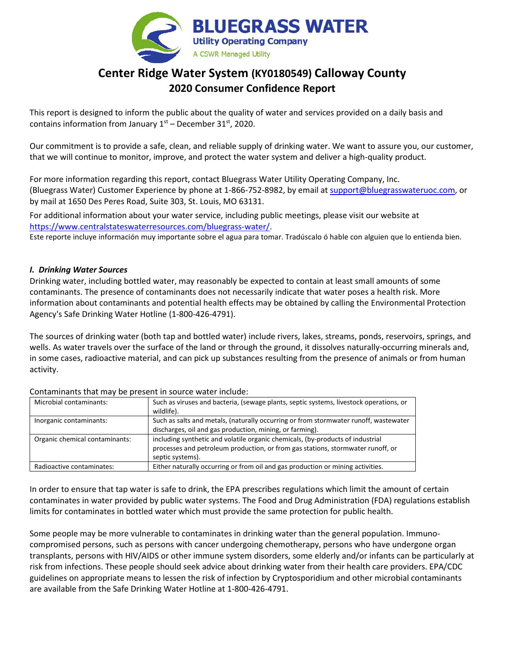

# **Center Ridge Water System (KY0180549) Calloway County 2020 Consumer Confidence Report**

This report is designed to inform the public about the quality of water and services provided on a daily basis and contains information from January  $1<sup>st</sup>$  – December 31 $<sup>st</sup>$ , 2020.</sup>

Our commitment is to provide a safe, clean, and reliable supply of drinking water. We want to assure you, our customer, that we will continue to monitor, improve, and protect the water system and deliver a high-quality product.

For more information regarding this report, contact Bluegrass Water Utility Operating Company, Inc. (Bluegrass Water) Customer Experience by phone at 1-866-752-8982, by email at support@bluegrasswateruoc.com, or by mail at 1650 Des Peres Road, Suite 303, St. Louis, MO 63131.

For additional information about your water service, including public meetings, please visit our website at https://www.centralstateswaterresources.com/bluegrass-water/.

Este reporte incluye información muy importante sobre el agua para tomar. Tradúscalo ó hable con alguien que lo entienda bien.

### *I. Drinking Water Sources*

Drinking water, including bottled water, may reasonably be expected to contain at least small amounts of some contaminants. The presence of contaminants does not necessarily indicate that water poses a health risk. More information about contaminants and potential health effects may be obtained by calling the Environmental Protection Agency's Safe Drinking Water Hotline (1-800-426-4791).

The sources of drinking water (both tap and bottled water) include rivers, lakes, streams, ponds, reservoirs, springs, and wells. As water travels over the surface of the land or through the ground, it dissolves naturally-occurring minerals and, in some cases, radioactive material, and can pick up substances resulting from the presence of animals or from human activity.

| Microbial contaminants:        | Such as viruses and bacteria, (sewage plants, septic systems, livestock operations, or<br>wildlife).                                                                                  |
|--------------------------------|---------------------------------------------------------------------------------------------------------------------------------------------------------------------------------------|
| Inorganic contaminants:        | Such as salts and metals, (naturally occurring or from stormwater runoff, wastewater<br>discharges, oil and gas production, mining, or farming).                                      |
| Organic chemical contaminants: | including synthetic and volatile organic chemicals, (by-products of industrial<br>processes and petroleum production, or from gas stations, stormwater runoff, or<br>septic systems). |
| Radioactive contaminates:      | Either naturally occurring or from oil and gas production or mining activities.                                                                                                       |

#### Contaminants that may be present in source water include:

In order to ensure that tap water is safe to drink, the EPA prescribes regulations which limit the amount of certain contaminates in water provided by public water systems. The Food and Drug Administration (FDA) regulations establish limits for contaminates in bottled water which must provide the same protection for public health.

Some people may be more vulnerable to contaminates in drinking water than the general population. Immunocompromised persons, such as persons with cancer undergoing chemotherapy, persons who have undergone organ transplants, persons with HIV/AIDS or other immune system disorders, some elderly and/or infants can be particularly at risk from infections. These people should seek advice about drinking water from their health care providers. EPA/CDC guidelines on appropriate means to lessen the risk of infection by Cryptosporidium and other microbial contaminants are available from the Safe Drinking Water Hotline at 1-800-426-4791.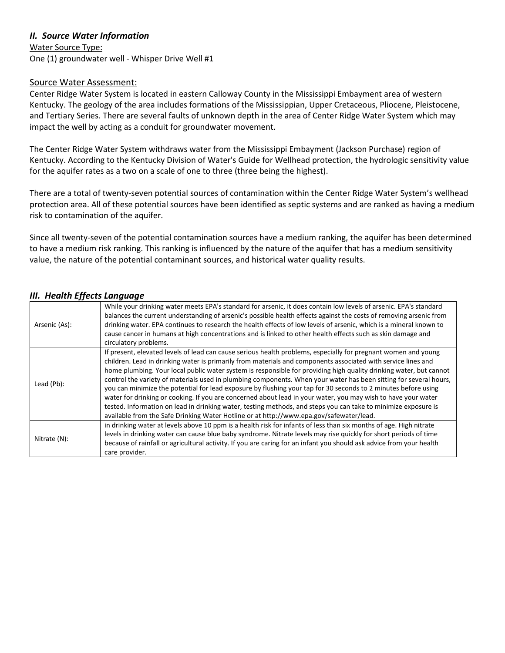## *II. Source Water Information*

Water Source Type: One (1) groundwater well - Whisper Drive Well #1

#### Source Water Assessment:

Center Ridge Water System is located in eastern Calloway County in the Mississippi Embayment area of western Kentucky. The geology of the area includes formations of the Mississippian, Upper Cretaceous, Pliocene, Pleistocene, and Tertiary Series. There are several faults of unknown depth in the area of Center Ridge Water System which may impact the well by acting as a conduit for groundwater movement.

The Center Ridge Water System withdraws water from the Mississippi Embayment (Jackson Purchase) region of Kentucky. According to the Kentucky Division of Water's Guide for Wellhead protection, the hydrologic sensitivity value for the aquifer rates as a two on a scale of one to three (three being the highest).

There are a total of twenty-seven potential sources of contamination within the Center Ridge Water System's wellhead protection area. All of these potential sources have been identified as septic systems and are ranked as having a medium risk to contamination of the aquifer.

Since all twenty-seven of the potential contamination sources have a medium ranking, the aquifer has been determined to have a medium risk ranking. This ranking is influenced by the nature of the aquifer that has a medium sensitivity value, the nature of the potential contaminant sources, and historical water quality results.

| Arsenic (As): | While your drinking water meets EPA's standard for arsenic, it does contain low levels of arsenic. EPA's standard<br>balances the current understanding of arsenic's possible health effects against the costs of removing arsenic from<br>drinking water. EPA continues to research the health effects of low levels of arsenic, which is a mineral known to<br>cause cancer in humans at high concentrations and is linked to other health effects such as skin damage and<br>circulatory problems.                                                                                                                                                                                                                                                                                                                                                                                                                      |
|---------------|----------------------------------------------------------------------------------------------------------------------------------------------------------------------------------------------------------------------------------------------------------------------------------------------------------------------------------------------------------------------------------------------------------------------------------------------------------------------------------------------------------------------------------------------------------------------------------------------------------------------------------------------------------------------------------------------------------------------------------------------------------------------------------------------------------------------------------------------------------------------------------------------------------------------------|
| Lead $(Pb)$ : | If present, elevated levels of lead can cause serious health problems, especially for pregnant women and young<br>children. Lead in drinking water is primarily from materials and components associated with service lines and<br>home plumbing. Your local public water system is responsible for providing high quality drinking water, but cannot<br>control the variety of materials used in plumbing components. When your water has been sitting for several hours,<br>you can minimize the potential for lead exposure by flushing your tap for 30 seconds to 2 minutes before using<br>water for drinking or cooking. If you are concerned about lead in your water, you may wish to have your water<br>tested. Information on lead in drinking water, testing methods, and steps you can take to minimize exposure is<br>available from the Safe Drinking Water Hotline or at http://www.epa.gov/safewater/lead. |
| Nitrate (N):  | in drinking water at levels above 10 ppm is a health risk for infants of less than six months of age. High nitrate<br>levels in drinking water can cause blue baby syndrome. Nitrate levels may rise quickly for short periods of time<br>because of rainfall or agricultural activity. If you are caring for an infant you should ask advice from your health<br>care provider.                                                                                                                                                                                                                                                                                                                                                                                                                                                                                                                                           |

## *III. Health Effects Language*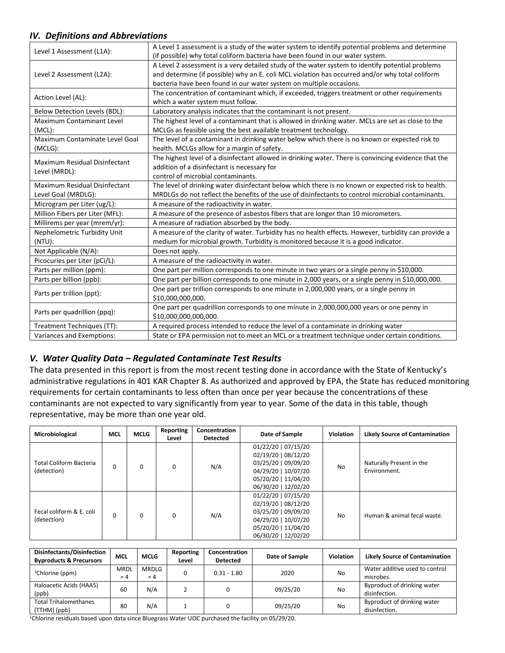## *IV. Definitions and Abbreviations*

| Level 1 Assessment (L1A):       | A Level 1 assessment is a study of the water system to identify potential problems and determine     |  |  |  |  |  |
|---------------------------------|------------------------------------------------------------------------------------------------------|--|--|--|--|--|
|                                 | (if possible) why total coliform bacteria have been found in our water system.                       |  |  |  |  |  |
|                                 | A Level 2 assessment is a very detailed study of the water system to identify potential problems     |  |  |  |  |  |
| Level 2 Assessment (L2A):       | and determine (if possible) why an E. coli MCL violation has occurred and/or why total coliform      |  |  |  |  |  |
|                                 | bacteria have been found in our water system on multiple occasions.                                  |  |  |  |  |  |
| Action Level (AL):              | The concentration of contaminant which, if exceeded, triggers treatment or other requirements        |  |  |  |  |  |
|                                 | which a water system must follow.                                                                    |  |  |  |  |  |
| Below Detection Levels (BDL):   | Laboratory analysis indicates that the contaminant is not present.                                   |  |  |  |  |  |
| Maximum Contaminant Level       | The highest level of a contaminant that is allowed in drinking water. MCLs are set as close to the   |  |  |  |  |  |
| (MCL):                          | MCLGs as feasible using the best available treatment technology.                                     |  |  |  |  |  |
| Maximum Contaminate Level Goal  | The level of a contaminant in drinking water below which there is no known or expected risk to       |  |  |  |  |  |
| (MCLG):                         | health. MCLGs allow for a margin of safety.                                                          |  |  |  |  |  |
| Maximum Residual Disinfectant   | The highest level of a disinfectant allowed in drinking water. There is convincing evidence that the |  |  |  |  |  |
|                                 | addition of a disinfectant is necessary for                                                          |  |  |  |  |  |
| Level (MRDL):                   | control of microbial contaminants.                                                                   |  |  |  |  |  |
| Maximum Residual Disinfectant   | The level of drinking water disinfectant below which there is no known or expected risk to health.   |  |  |  |  |  |
| Level Goal (MRDLG):             | MRDLGs do not reflect the benefits of the use of disinfectants to control microbial contaminants.    |  |  |  |  |  |
| Microgram per Liter (ug/L):     | A measure of the radioactivity in water.                                                             |  |  |  |  |  |
| Million Fibers per Liter (MFL): | A measure of the presence of asbestos fibers that are longer than 10 micrometers.                    |  |  |  |  |  |
| Millirems per year (mrem/yr):   | A measure of radiation absorbed by the body.                                                         |  |  |  |  |  |
| Nephelometric Turbidity Unit    | A measure of the clarity of water. Turbidity has no health effects. However, turbidity can provide a |  |  |  |  |  |
| $(NTU)$ :                       | medium for microbial growth. Turbidity is monitored because it is a good indicator.                  |  |  |  |  |  |
| Not Applicable (N/A):           | Does not apply.                                                                                      |  |  |  |  |  |
| Picocuries per Liter (pCi/L):   | A measure of the radioactivity in water.                                                             |  |  |  |  |  |
| Parts per million (ppm):        | One part per million corresponds to one minute in two years or a single penny in \$10,000.           |  |  |  |  |  |
| Parts per billion (ppb):        | One part per billion corresponds to one minute in 2,000 years, or a single penny in \$10,000,000.    |  |  |  |  |  |
|                                 | One part per trillion corresponds to one minute in 2,000,000 years, or a single penny in             |  |  |  |  |  |
| Parts per trillion (ppt):       | \$10,000,000,000.                                                                                    |  |  |  |  |  |
|                                 | One part per quadrillion corresponds to one minute in 2,000,000,000 years or one penny in            |  |  |  |  |  |
| Parts per quadrillion (ppq):    | \$10,000,000,000,000.                                                                                |  |  |  |  |  |
| Treatment Techniques (TT):      | A required process intended to reduce the level of a contaminate in drinking water                   |  |  |  |  |  |
| Variances and Exemptions:       | State or EPA permission not to meet an MCL or a treatment technique under certain conditions.        |  |  |  |  |  |

## *V. Water Quality Data – Regulated Contaminate Test Results*

The data presented in this report is from the most recent testing done in accordance with the State of Kentucky's administrative regulations in 401 KAR Chapter 8. As authorized and approved by EPA, the State has reduced monitoring requirements for certain contaminants to less often than once per year because the concentrations of these contaminants are not expected to vary significantly from year to year. Some of the data in this table, though representative, may be more than one year old.

| Microbiological                               | MCL | <b>MCLG</b> | Reporting<br>Level | Concentration<br><b>Detected</b> | Date of Sample                                                                                                                         | <b>Violation</b> | <b>Likely Source of Contamination</b>    |
|-----------------------------------------------|-----|-------------|--------------------|----------------------------------|----------------------------------------------------------------------------------------------------------------------------------------|------------------|------------------------------------------|
| <b>Total Coliform Bacteria</b><br>(detection) | 0   | 0           | 0                  | N/A                              | 01/22/20   07/15/20<br>02/19/20   08/12/20<br>03/25/20   09/09/20<br>04/29/20   10/07/20<br>05/20/20   11/04/20<br>06/30/20   12/02/20 | <b>No</b>        | Naturally Present in the<br>Environment. |
| Fecal coliform & E. coli<br>(detection)       | 0   | 0           | 0                  | N/A                              | 01/22/20   07/15/20<br>02/19/20   08/12/20<br>03/25/20   09/09/20<br>04/29/20   10/07/20<br>05/20/20   11/04/20<br>06/30/20   12/02/20 | <b>No</b>        | Human & animal fecal waste.              |

| Disinfectants/Disinfection<br><b>Byproducts &amp; Precursors</b> | <b>MCL</b>           | <b>MCLG</b>    | Reporting<br>Level | Concentration<br><b>Detected</b> | Date of Sample | Violation | <b>Likely Source of Contamination</b>        |
|------------------------------------------------------------------|----------------------|----------------|--------------------|----------------------------------|----------------|-----------|----------------------------------------------|
| <sup>1</sup> Chlorine (ppm)                                      | <b>MRDL</b><br>$= 4$ | MRDLG<br>$= 4$ |                    | $0.31 - 1.80$                    | 2020           | No        | Water additive used to control<br>microbes.  |
| Haloacetic Acids (HAA5)<br>(ppb)                                 | 60                   | N/A            |                    |                                  | 09/25/20       | No        | Byproduct of drinking water<br>disinfection. |
| <b>Total Trihalomethanes</b><br>(TTHM) (ppb)                     | 80                   | N/A            |                    | 0                                | 09/25/20       | No        | Byproduct of drinking water<br>disinfection. |

<sup>1</sup>Chlorine residuals based upon data since Bluegrass Water UOC purchased the facility on 05/29/20.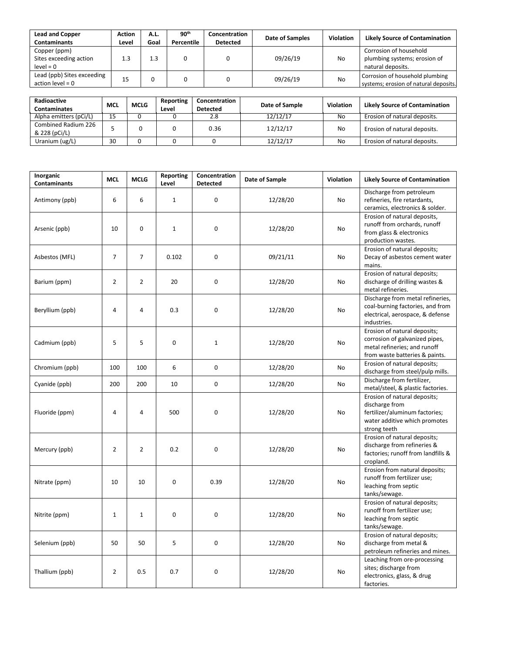| <b>Lead and Copper</b>     | <b>Action</b> | A.L. | 90 <sup>th</sup> | Concentration   | Date of Samples | <b>Violation</b> | <b>Likely Source of Contamination</b> |
|----------------------------|---------------|------|------------------|-----------------|-----------------|------------------|---------------------------------------|
| <b>Contaminants</b>        | Level         | Goal | Percentile       | <b>Detected</b> |                 |                  |                                       |
| Copper (ppm)               |               |      |                  |                 |                 |                  | Corrosion of household                |
| Sites exceeding action     | 1.3           | 1.3  |                  |                 | 09/26/19        | No               | plumbing systems; erosion of          |
| $level = 0$                |               |      |                  |                 |                 |                  | natural deposits.                     |
| Lead (ppb) Sites exceeding |               |      |                  |                 | 09/26/19        |                  | Corrosion of household plumbing       |
| action level $= 0$         | 15            |      |                  |                 |                 | No               | systems; erosion of natural deposits. |

| Radioactive<br><b>Contaminates</b>   | <b>MCL</b> | <b>MCLG</b> | Reporting<br>Level | Concentration<br><b>Detected</b> | Date of Sample | Violation | <b>Likely Source of Contamination</b> |
|--------------------------------------|------------|-------------|--------------------|----------------------------------|----------------|-----------|---------------------------------------|
| Alpha emitters (pCi/L)               | 15         |             |                    | 2.8                              | 12/12/17       | No        | Erosion of natural deposits.          |
| Combined Radium 226<br>& 228 (pCi/L) |            |             |                    | 0.36                             | 12/12/17       | No        | Erosion of natural deposits.          |
| Uranium (ug/L)                       | 30         |             |                    |                                  | 12/12/17       | No        | Erosion of natural deposits.          |

| Inorganic<br><b>Contaminants</b> | <b>MCL</b>     | <b>MCLG</b>    | Reporting<br>Level | Concentration<br><b>Detected</b> | Date of Sample | Violation | <b>Likely Source of Contamination</b>                                                                                             |
|----------------------------------|----------------|----------------|--------------------|----------------------------------|----------------|-----------|-----------------------------------------------------------------------------------------------------------------------------------|
| Antimony (ppb)                   | 6              | 6              | $\mathbf{1}$       | 0                                | 12/28/20       | No        | Discharge from petroleum<br>refineries, fire retardants,<br>ceramics, electronics & solder.                                       |
| Arsenic (ppb)                    | 10             | $\Omega$       | $\mathbf{1}$       | $\mathbf 0$                      | 12/28/20       | No        | Erosion of natural deposits,<br>runoff from orchards, runoff<br>from glass & electronics<br>production wastes.                    |
| Asbestos (MFL)                   | $\overline{7}$ | $\overline{7}$ | 0.102              | 0                                | 09/21/11       | <b>No</b> | Erosion of natural deposits;<br>Decay of asbestos cement water<br>mains.                                                          |
| Barium (ppm)                     | $\overline{2}$ | $\overline{2}$ | 20                 | $\mathbf 0$                      | 12/28/20       | No        | Erosion of natural deposits;<br>discharge of drilling wastes &<br>metal refineries.                                               |
| Beryllium (ppb)                  | 4              | 4              | 0.3                | $\mathbf 0$                      | 12/28/20       | No        | Discharge from metal refineries,<br>coal-burning factories, and from<br>electrical, aerospace, & defense<br>industries.           |
| Cadmium (ppb)                    | 5              | 5              | $\mathbf 0$        | $\mathbf{1}$                     | 12/28/20       | No        | Erosion of natural deposits;<br>corrosion of galvanized pipes,<br>metal refineries; and runoff<br>from waste batteries & paints.  |
| Chromium (ppb)                   | 100            | 100            | 6                  | 0                                | 12/28/20       | No        | Erosion of natural deposits;<br>discharge from steel/pulp mills.                                                                  |
| Cyanide (ppb)                    | 200            | 200            | 10                 | 0                                | 12/28/20       | No        | Discharge from fertilizer,<br>metal/steel, & plastic factories.                                                                   |
| Fluoride (ppm)                   | 4              | $\overline{4}$ | 500                | $\mathbf 0$                      | 12/28/20       | No        | Erosion of natural deposits;<br>discharge from<br>fertilizer/aluminum factories;<br>water additive which promotes<br>strong teeth |
| Mercury (ppb)                    | $\overline{2}$ | $\overline{2}$ | 0.2                | $\mathbf 0$                      | 12/28/20       | No        | Erosion of natural deposits;<br>discharge from refineries &<br>factories; runoff from landfills &<br>cropland.                    |
| Nitrate (ppm)                    | 10             | 10             | 0                  | 0.39                             | 12/28/20       | No        | Erosion from natural deposits;<br>runoff from fertilizer use;<br>leaching from septic<br>tanks/sewage.                            |
| Nitrite (ppm)                    | $\mathbf 1$    | $\mathbf 1$    | 0                  | $\mathbf 0$                      | 12/28/20       | No        | Erosion of natural deposits;<br>runoff from fertilizer use;<br>leaching from septic<br>tanks/sewage.                              |
| Selenium (ppb)                   | 50             | 50             | 5                  | $\mathbf 0$                      | 12/28/20       | No        | Erosion of natural deposits;<br>discharge from metal &<br>petroleum refineries and mines.                                         |
| Thallium (ppb)                   | $\overline{2}$ | 0.5            | 0.7                | $\mathbf 0$                      | 12/28/20       | No        | Leaching from ore-processing<br>sites; discharge from<br>electronics, glass, & drug<br>factories.                                 |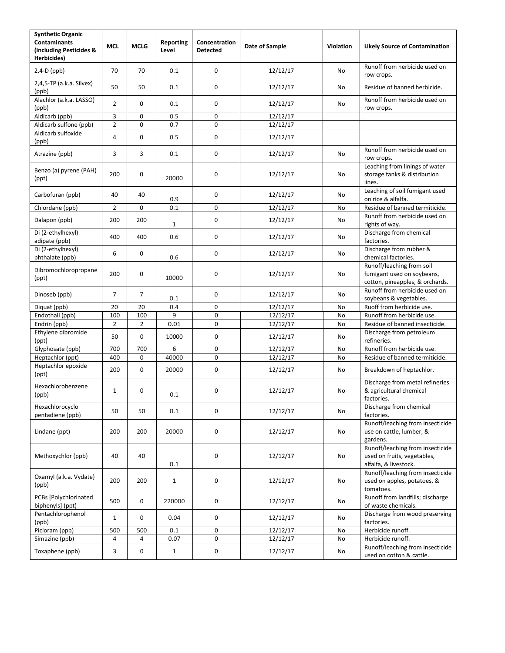| <b>Synthetic Organic</b><br><b>Contaminants</b><br>(including Pesticides &<br><b>Herbicides)</b> | <b>MCL</b>     | <b>MCLG</b>    | Reporting<br>Level | Concentration<br><b>Detected</b> | Date of Sample | Violation | <b>Likely Source of Contamination</b>                                                      |
|--------------------------------------------------------------------------------------------------|----------------|----------------|--------------------|----------------------------------|----------------|-----------|--------------------------------------------------------------------------------------------|
| $2,4-D$ (ppb)                                                                                    | 70             | 70             | 0.1                | $\mathbf 0$                      | 12/12/17       | No        | Runoff from herbicide used on<br>row crops.                                                |
| 2,4,5-TP (a.k.a. Silvex)<br>(ppb)                                                                | 50             | 50             | 0.1                | 0                                | 12/12/17       | No        | Residue of banned herbicide.                                                               |
| Alachlor (a.k.a. LASSO)<br>(ppb)                                                                 | $\overline{2}$ | 0              | 0.1                | 0                                | 12/12/17       | No        | Runoff from herbicide used on<br>row crops.                                                |
| Aldicarb (ppb)                                                                                   | 3              | 0              | 0.5                | 0                                | 12/12/17       |           |                                                                                            |
| Aldicarb sulfone (ppb)                                                                           | $\overline{2}$ | 0              | 0.7                | 0                                | 12/12/17       |           |                                                                                            |
| Aldicarb sulfoxide<br>(ppb)                                                                      | 4              | 0              | 0.5                | 0                                | 12/12/17       |           |                                                                                            |
| Atrazine (ppb)                                                                                   | 3              | 3              | 0.1                | 0                                | 12/12/17       | No        | Runoff from herbicide used on<br>row crops.                                                |
| Benzo (a) pyrene (PAH)<br>(ppt)                                                                  | 200            | 0              | 20000              | 0                                | 12/12/17       | No        | Leaching from linings of water<br>storage tanks & distribution<br>lines.                   |
| Carbofuran (ppb)                                                                                 | 40             | 40             | 0.9                | 0                                | 12/12/17       | No        | Leaching of soil fumigant used<br>on rice & alfalfa.                                       |
| Chlordane (ppb)                                                                                  | $\overline{2}$ | 0              | 0.1                | 0                                | 12/12/17       | No        | Residue of banned termiticide.                                                             |
| Dalapon (ppb)                                                                                    | 200            | 200            | $\mathbf{1}$       | 0                                | 12/12/17       | No        | Runoff from herbicide used on<br>rights of way.                                            |
| Di (2-ethylhexyl)<br>adipate (ppb)                                                               | 400            | 400            | 0.6                | 0                                | 12/12/17       | No        | Discharge from chemical<br>factories.                                                      |
| Di (2-ethylhexyl)<br>phthalate (ppb)                                                             | 6              | 0              | 0.6                | 0                                | 12/12/17       | No        | Discharge from rubber &<br>chemical factories.                                             |
| Dibromochloropropane<br>(ppt)                                                                    | 200            | 0              | 10000              | 0                                | 12/12/17       | No        | Runoff/leaching from soil<br>fumigant used on soybeans,<br>cotton, pineapples, & orchards. |
| Dinoseb (ppb)                                                                                    | 7              | 7              | 0.1                | 0                                | 12/12/17       | No        | Runoff from herbicide used on<br>soybeans & vegetables.                                    |
| Diquat (ppb)                                                                                     | 20             | 20             | 0.4                | 0                                | 12/12/17       | No        | Ruoff from herbicide use.                                                                  |
| Endothall (ppb)                                                                                  | 100            | 100            | 9                  | 0                                | 12/12/17       | No        | Runoff from herbicide use.                                                                 |
| Endrin (ppb)                                                                                     | $\overline{2}$ | $\overline{2}$ | 0.01               | 0                                | 12/12/17       | No        | Residue of banned insecticide.                                                             |
| Ethylene dibromide<br>(ppt)                                                                      | 50             | 0              | 10000              | 0                                | 12/12/17       | No        | Discharge from petroleum<br>refineries.                                                    |
| Glyphosate (ppb)                                                                                 | 700            | 700            | 6                  | 0                                | 12/12/17       | No        | Runoff from herbicide use.                                                                 |
| Heptachlor (ppt)                                                                                 | 400            | 0              | 40000              | 0                                | 12/12/17       | No        | Residue of banned termiticide.                                                             |
| Heptachlor epoxide<br>(ppt)                                                                      | 200            | $\mathbf 0$    | 20000              | 0                                | 12/12/17       | No        | Breakdown of heptachlor.                                                                   |
| Hexachlorobenzene<br>(ppb)                                                                       | $\mathbf{1}$   | 0              | 0.1                | 0                                | 12/12/17       | No        | Discharge from metal refineries<br>& agricultural chemical<br>factories.                   |
| Hexachlorocyclo<br>pentadiene (ppb)                                                              | 50             | 50             | 0.1                | 0                                | 12/12/17       | No        | Discharge from chemical<br>factories.                                                      |
| Lindane (ppt)                                                                                    | 200            | 200            | 20000              | 0                                | 12/12/17       | No        | Runoff/leaching from insecticide<br>use on cattle, lumber, &<br>gardens.                   |
| Methoxychlor (ppb)                                                                               | 40             | 40             | 0.1                | 0                                | 12/12/17       | No        | Runoff/leaching from insecticide<br>used on fruits, vegetables,<br>alfalfa, & livestock.   |
| Oxamyl (a.k.a. Vydate)<br>(ppb)                                                                  | 200            | 200            | $\mathbf{1}$       | 0                                | 12/12/17       | No        | Runoff/leaching from insecticide<br>used on apples, potatoes, &<br>tomatoes.               |
| PCBs [Polychlorinated<br>biphenyls] (ppt)                                                        | 500            | 0              | 220000             | 0                                | 12/12/17       | No        | Runoff from landfills; discharge<br>of waste chemicals.                                    |
| Pentachlorophenol<br>(ppb)                                                                       | $\mathbf{1}$   | 0              | 0.04               | 0                                | 12/12/17       | No        | Discharge from wood preserving<br>factories.                                               |
| Picloram (ppb)                                                                                   | 500            | 500            | 0.1                | 0                                | 12/12/17       | No        | Herbicide runoff.                                                                          |
| Simazine (ppb)                                                                                   | 4              | 4              | 0.07               | 0                                | 12/12/17       | No        | Herbicide runoff.                                                                          |
| Toxaphene (ppb)                                                                                  | 3              | 0              | $\mathbf{1}$       | 0                                | 12/12/17       | No        | Runoff/leaching from insecticide<br>used on cotton & cattle.                               |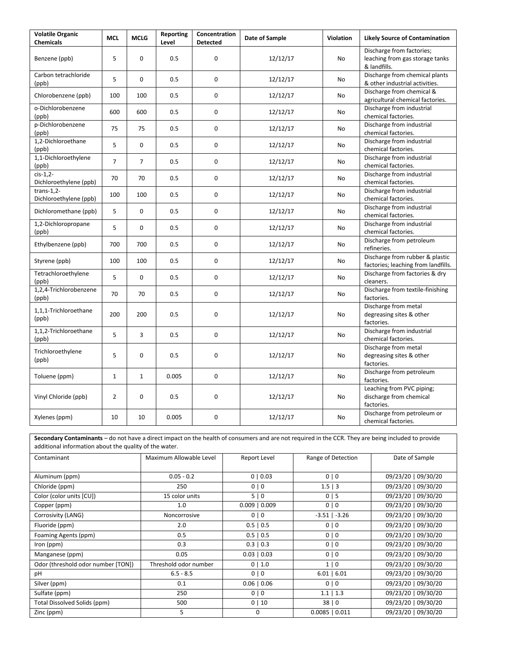| <b>Volatile Organic</b><br><b>Chemicals</b> | <b>MCL</b>     | <b>MCLG</b>    | Reporting<br>Level | Concentration<br><b>Detected</b> | Date of Sample | Violation | <b>Likely Source of Contamination</b>                                        |
|---------------------------------------------|----------------|----------------|--------------------|----------------------------------|----------------|-----------|------------------------------------------------------------------------------|
| Benzene (ppb)                               | 5              | 0              | 0.5                | 0                                | 12/12/17       | No        | Discharge from factories;<br>leaching from gas storage tanks<br>& landfills. |
| Carbon tetrachloride<br>(ppb)               | 5              | 0              | 0.5                | $\mathbf 0$                      | 12/12/17       | <b>No</b> | Discharge from chemical plants<br>& other industrial activities.             |
| Chlorobenzene (ppb)                         | 100            | 100            | 0.5                | 0                                | 12/12/17       | No        | Discharge from chemical &<br>agricultural chemical factories.                |
| o-Dichlorobenzene<br>(ppb)                  | 600            | 600            | 0.5                | $\pmb{0}$                        | 12/12/17       | No        | Discharge from industrial<br>chemical factories.                             |
| p-Dichlorobenzene<br>(ppb)                  | 75             | 75             | 0.5                | $\mathbf 0$                      | 12/12/17       | <b>No</b> | Discharge from industrial<br>chemical factories.                             |
| 1,2-Dichloroethane<br>(ppb)                 | 5              | 0              | 0.5                | $\pmb{0}$                        | 12/12/17       | No        | Discharge from industrial<br>chemical factories.                             |
| 1,1-Dichloroethylene<br>(ppb)               | $\overline{7}$ | $\overline{7}$ | 0.5                | $\mathbf 0$                      | 12/12/17       | No        | Discharge from industrial<br>chemical factories.                             |
| $cis-1,2-$<br>Dichloroethylene (ppb)        | 70             | 70             | 0.5                | $\pmb{0}$                        | 12/12/17       | No        | Discharge from industrial<br>chemical factories.                             |
| $trans-1,2-$<br>Dichloroethylene (ppb)      | 100            | 100            | 0.5                | 0                                | 12/12/17       | No        | Discharge from industrial<br>chemical factories.                             |
| Dichloromethane (ppb)                       | 5              | 0              | 0.5                | $\pmb{0}$                        | 12/12/17       | No        | Discharge from industrial<br>chemical factories.                             |
| 1,2-Dichloropropane<br>(ppb)                | 5              | 0              | 0.5                | 0                                | 12/12/17       | No        | Discharge from industrial<br>chemical factories.                             |
| Ethylbenzene (ppb)                          | 700            | 700            | 0.5                | $\pmb{0}$                        | 12/12/17       | No        | Discharge from petroleum<br>refineries.                                      |
| Styrene (ppb)                               | 100            | 100            | 0.5                | $\mathbf 0$                      | 12/12/17       | No        | Discharge from rubber & plastic<br>factories; leaching from landfills.       |
| Tetrachloroethylene<br>(ppb)                | 5              | 0              | 0.5                | $\pmb{0}$                        | 12/12/17       | No        | Discharge from factories & dry<br>cleaners.                                  |
| 1,2,4-Trichlorobenzene<br>(ppb)             | 70             | 70             | 0.5                | $\pmb{0}$                        | 12/12/17       | <b>No</b> | Discharge from textile-finishing<br>factories.                               |
| 1,1,1-Trichloroethane<br>(ppb)              | 200            | 200            | 0.5                | $\pmb{0}$                        | 12/12/17       | No        | Discharge from metal<br>degreasing sites & other<br>factories.               |
| 1,1,2-Trichloroethane<br>(ppb)              | 5              | 3              | 0.5                | 0                                | 12/12/17       | No        | Discharge from industrial<br>chemical factories.                             |
| Trichloroethylene<br>(ppb)                  | 5              | 0              | 0.5                | 0                                | 12/12/17       | No        | Discharge from metal<br>degreasing sites & other<br>factories.               |
| Toluene (ppm)                               | $\mathbf{1}$   | $\mathbf 1$    | 0.005              | $\pmb{0}$                        | 12/12/17       | No        | Discharge from petroleum<br>factories.                                       |
| Vinyl Chloride (ppb)                        | $\overline{2}$ | 0              | 0.5                | 0                                | 12/12/17       | No        | Leaching from PVC piping;<br>discharge from chemical<br>factories.           |
| Xylenes (ppm)                               | 10             | 10             | 0.005              | $\mathbf 0$                      | 12/12/17       | <b>No</b> | Discharge from petroleum or<br>chemical factories.                           |

Secondary Contaminants – do not have a direct impact on the health of consumers and are not required in the CCR. They are being included to provide additional information about the quality of the water.

| Contaminant                        | Maximum Allowable Level | Report Level      | Range of Detection | Date of Sample      |
|------------------------------------|-------------------------|-------------------|--------------------|---------------------|
|                                    |                         |                   |                    |                     |
| Aluminum (ppm)                     | $0.05 - 0.2$            | 0   0.03          | 0   0              | 09/23/20   09/30/20 |
| Chloride (ppm)                     | 250                     | 0   0             | $1.5$   3          | 09/23/20   09/30/20 |
| Color (color units [CU])           | 15 color units          | 5 0               | $0$   5            | 09/23/20   09/30/20 |
| Copper (ppm)                       | 1.0                     | $0.009$   $0.009$ | 0   0              | 09/23/20   09/30/20 |
| Corrosivity (LANG)                 | Noncorrosive            | 0   0             | $-3.51$   $-3.26$  | 09/23/20   09/30/20 |
| Fluoride (ppm)                     | 2.0                     | 0.5   0.5         | 0   0              | 09/23/20   09/30/20 |
| Foaming Agents (ppm)               | 0.5                     | 0.5   0.5         | 0   0              | 09/23/20   09/30/20 |
| lron (ppm)                         | 0.3                     | 0.3   0.3         | 0   0              | 09/23/20   09/30/20 |
| Manganese (ppm)                    | 0.05                    | 0.03   0.03       | 0   0              | 09/23/20   09/30/20 |
| Odor (threshold odor number [TON]) | Threshold odor number   | 0   1.0           | 1 0                | 09/23/20   09/30/20 |
| pH                                 | $6.5 - 8.5$             | 0   0             | $6.01$   $6.01$    | 09/23/20   09/30/20 |
| Silver (ppm)                       | 0.1                     | $0.06$   0.06     | 0   0              | 09/23/20   09/30/20 |
| Sulfate (ppm)                      | 250                     | 0   0             | $1.1$   1.3        | 09/23/20   09/30/20 |
| Total Dissolved Solids (ppm)       | 500                     | 0   10            | 38 0               | 09/23/20   09/30/20 |
| Zinc (ppm)                         | 5                       | 0                 | $0.0085$   $0.011$ | 09/23/20   09/30/20 |